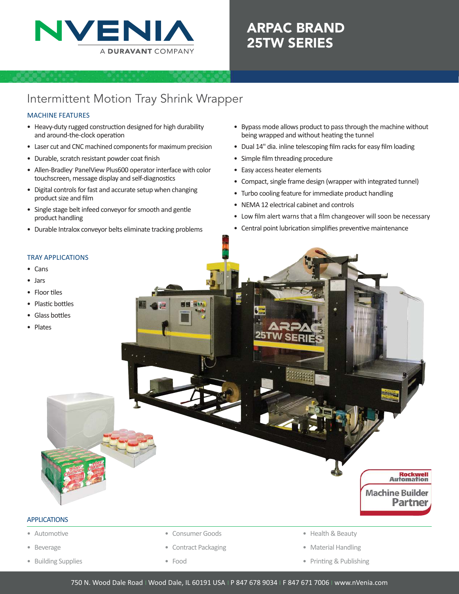

# ARPAC BRAND 25TW SERIES

## Intermittent Motion Tray Shrink Wrapper

## MACHINE FEATURES

- Heavy-duty rugged construction designed for high durability and around-the-clock operation
- Laser cut and CNC machined components for maximum precision
- Durable, scratch resistant powder coat finish
- Allen-Bradley PanelView Plus600 operator interface with color touchscreen, message display and self-diagnostics
- Digital controls for fast and accurate setup when changing product size and film
- Single stage belt infeed conveyor for smooth and gentle product handling
- Durable Intralox conveyor belts eliminate tracking problems
- Bypass mode allows product to pass through the machine without being wrapped and without heating the tunnel
- Dual 14" dia. inline telescoping film racks for easy film loading
- Simple film threading procedure
- Easy access heater elements
- Compact, single frame design (wrapper with integrated tunnel)
- Turbo cooling feature for immediate product handling
- NEMA 12 electrical cabinet and controls
- Low film alert warns that a film changeover will soon be necessary
- Central point lubrication simplifies preventive maintenance

### TRAY APPLICATIONS

- Cans
- Jars
- Floor tiles
- Plastic bottles
- Glass bottles
- Plates



## APPLICATIONS

- Automotive
- Beverage
- Building Supplies